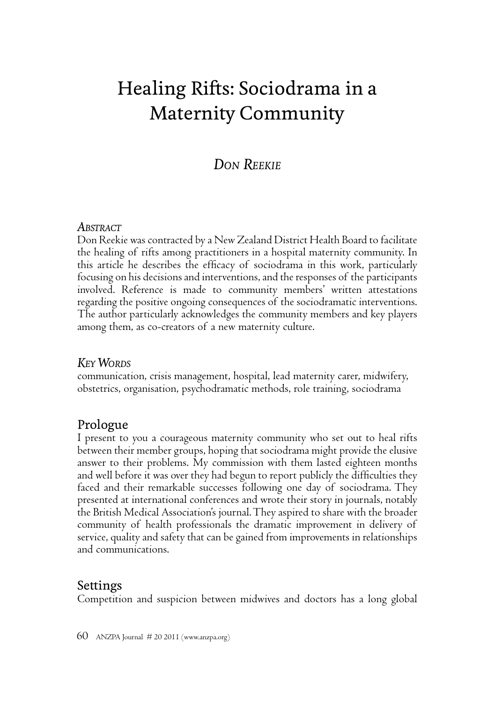# Healing Rifts: Sociodrama in a Maternity Community

## *DON REEKIE*

#### *ABSTRACT*

Don Reekie was contracted by a New Zealand District Health Board to facilitate the healing of rifts among practitioners in a hospital maternity community. In this article he describes the efficacy of sociodrama in this work, particularly focusing on his decisions and interventions, and the responses of the participants involved. Reference is made to community members' written attestations regarding the positive ongoing consequences of the sociodramatic interventions. The author particularly acknowledges the community members and key players among them, as co-creators of a new maternity culture.

## *KEY WORDS*

communication, crisis management, hospital, lead maternity carer, midwifery, obstetrics, organisation, psychodramatic methods, role training, sociodrama

## Prologue

I present to you a courageous maternity community who set out to heal rifts between their member groups, hoping that sociodrama might provide the elusive answer to their problems. My commission with them lasted eighteen months and well before it was over they had begun to report publicly the difficulties they faced and their remarkable successes following one day of sociodrama. They presented at international conferences and wrote their story in journals, notably the British Medical Association's journal. They aspired to share with the broader community of health professionals the dramatic improvement in delivery of service, quality and safety that can be gained from improvements in relationships and communications.

## Settings

Competition and suspicion between midwives and doctors has a long global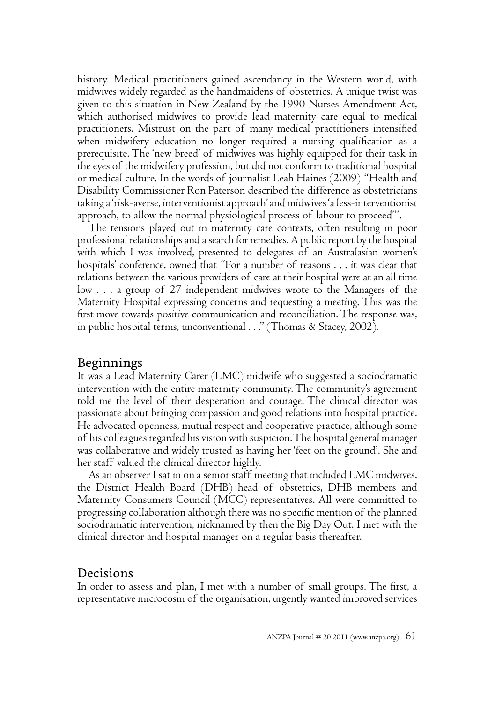history. Medical practitioners gained ascendancy in the Western world, with midwives widely regarded as the handmaidens of obstetrics. A unique twist was given to this situation in New Zealand by the 1990 Nurses Amendment Act, which authorised midwives to provide lead maternity care equal to medical practitioners. Mistrust on the part of many medical practitioners intensified when midwifery education no longer required a nursing qualification as a prerequisite. The 'new breed' of midwives was highly equipped for their task in the eyes of the midwifery profession, but did not conform to traditional hospital or medical culture. In the words of journalist Leah Haines (2009) "Health and Disability Commissioner Ron Paterson described the difference as obstetricians taking a 'risk-averse, interventionist approach' and midwives 'a less-interventionist approach, to allow the normal physiological process of labour to proceed'".

The tensions played out in maternity care contexts, often resulting in poor professional relationships and a search for remedies. A public report by the hospital with which I was involved, presented to delegates of an Australasian women's hospitals' conference, owned that "For a number of reasons . . . it was clear that relations between the various providers of care at their hospital were at an all time low . . . a group of 27 independent midwives wrote to the Managers of the Maternity Hospital expressing concerns and requesting a meeting. This was the first move towards positive communication and reconciliation. The response was, in public hospital terms, unconventional . . ." (Thomas & Stacey, 2002).

#### Beginnings

It was a Lead Maternity Carer (LMC) midwife who suggested a sociodramatic intervention with the entire maternity community. The community's agreement told me the level of their desperation and courage. The clinical director was passionate about bringing compassion and good relations into hospital practice. He advocated openness, mutual respect and cooperative practice, although some of his colleagues regarded his vision with suspicion. The hospital general manager was collaborative and widely trusted as having her 'feet on the ground'. She and her staff valued the clinical director highly.

As an observer I sat in on a senior staff meeting that included LMC midwives, the District Health Board (DHB) head of obstetrics, DHB members and Maternity Consumers Council (MCC) representatives. All were committed to progressing collaboration although there was no specific mention of the planned sociodramatic intervention, nicknamed by then the Big Day Out. I met with the clinical director and hospital manager on a regular basis thereafter.

#### Decisions

In order to assess and plan, I met with a number of small groups. The first, a representative microcosm of the organisation, urgently wanted improved services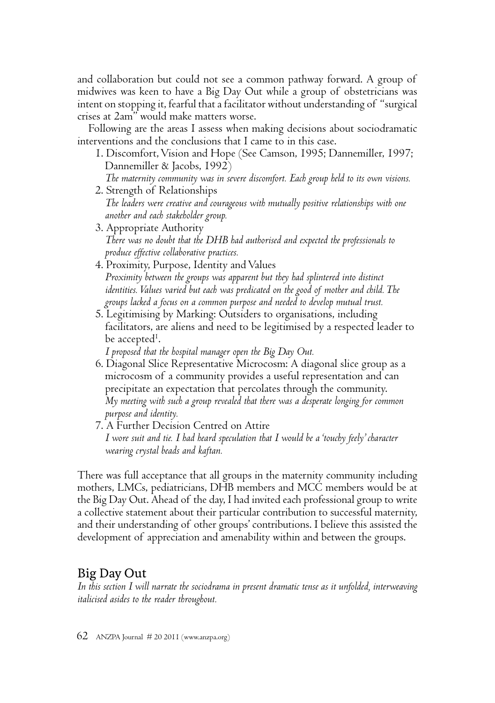and collaboration but could not see a common pathway forward. A group of midwives was keen to have a Big Day Out while a group of obstetricians was intent on stopping it, fearful that a facilitator without understanding of "surgical crises at 2am" would make matters worse.

Following are the areas I assess when making decisions about sociodramatic interventions and the conclusions that I came to in this case.

- 1. Discomfort, Vision and Hope (See Camson, 1995; Dannemiller, 1997; Dannemiller & Jacobs, 1992)
- *The maternity community was in severe discomfort. Each group held to its own visions.*  2. Strength of Relationships
- *The leaders were creative and courageous with mutually positive relationships with one another and each stakeholder group.*
- 3. Appropriate Authority  *There was no doubt that the DHB had authorised and expected the professionals to produce effective collaborative practices.*
- 4. Proximity, Purpose, Identity and Values  *Proximity between the groups was apparent but they had splintered into distinct identities. Values varied but each was predicated on the good of mother and child. The groups lacked a focus on a common purpose and needed to develop mutual trust.*
- 5. Legitimising by Marking: Outsiders to organisations, including facilitators, are aliens and need to be legitimised by a respected leader to be accepted<sup>1</sup>. .

 *I proposed that the hospital manager open the Big Day Out.*

- 6. Diagonal Slice Representative Microcosm: A diagonal slice group as a microcosm of a community provides a useful representation and can precipitate an expectation that percolates through the community.  *My meeting with such a group revealed that there was a desperate longing for common purpose and identity.*
- 7. A Further Decision Centred on Attire  *I wore suit and tie. I had heard speculation that I would be a 'touchy feely' character wearing crystal beads and kaftan.*

There was full acceptance that all groups in the maternity community including mothers, LMCs, pediatricians, DHB members and MCC members would be at the Big Day Out. Ahead of the day, I had invited each professional group to write a collective statement about their particular contribution to successful maternity, and their understanding of other groups' contributions. I believe this assisted the development of appreciation and amenability within and between the groups.

## Big Day Out

*In this section I will narrate the sociodrama in present dramatic tense as it unfolded, interweaving italicised asides to the reader throughout.*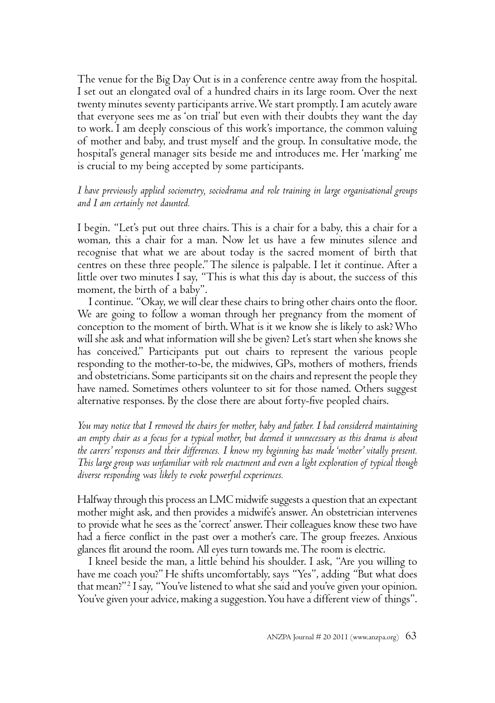The venue for the Big Day Out is in a conference centre away from the hospital. I set out an elongated oval of a hundred chairs in its large room. Over the next twenty minutes seventy participants arrive. We start promptly. I am acutely aware that everyone sees me as 'on trial' but even with their doubts they want the day to work. I am deeply conscious of this work's importance, the common valuing of mother and baby, and trust myself and the group. In consultative mode, the hospital's general manager sits beside me and introduces me. Her 'marking' me is crucial to my being accepted by some participants.

#### *I have previously applied sociometry, sociodrama and role training in large organisational groups and I am certainly not daunted.*

I begin. "Let's put out three chairs. This is a chair for a baby, this a chair for a woman, this a chair for a man. Now let us have a few minutes silence and recognise that what we are about today is the sacred moment of birth that centres on these three people." The silence is palpable. I let it continue. After a little over two minutes I say, "This is what this day is about, the success of this moment, the birth of a baby".

I continue. "Okay, we will clear these chairs to bring other chairs onto the floor. We are going to follow a woman through her pregnancy from the moment of conception to the moment of birth. What is it we know she is likely to ask? Who will she ask and what information will she be given? Let's start when she knows she has conceived." Participants put out chairs to represent the various people responding to the mother-to-be, the midwives, GPs, mothers of mothers, friends and obstetricians. Some participants sit on the chairs and represent the people they have named. Sometimes others volunteer to sit for those named. Others suggest alternative responses. By the close there are about forty-five peopled chairs.

*You may notice that I removed the chairs for mother, baby and father. I had considered maintaining an empty chair as a focus for a typical mother, but deemed it unnecessary as this drama is about the carers' responses and their differences. I know my beginning has made 'mother' vitally present. This large group was unfamiliar with role enactment and even a light exploration of typical though diverse responding was likely to evoke powerful experiences.*

Halfway through this process an LMC midwife suggests a question that an expectant mother might ask, and then provides a midwife's answer. An obstetrician intervenes to provide what he sees as the 'correct' answer. Their colleagues know these two have had a fierce conflict in the past over a mother's care. The group freezes. Anxious glances flit around the room. All eyes turn towards me. The room is electric.

I kneel beside the man, a little behind his shoulder. I ask, "Are you willing to have me coach you?" He shifts uncomfortably, says "Yes", adding "But what does that mean?" 2 I say, "You've listened to what she said and you've given your opinion. You've given your advice, making a suggestion. You have a different view of things".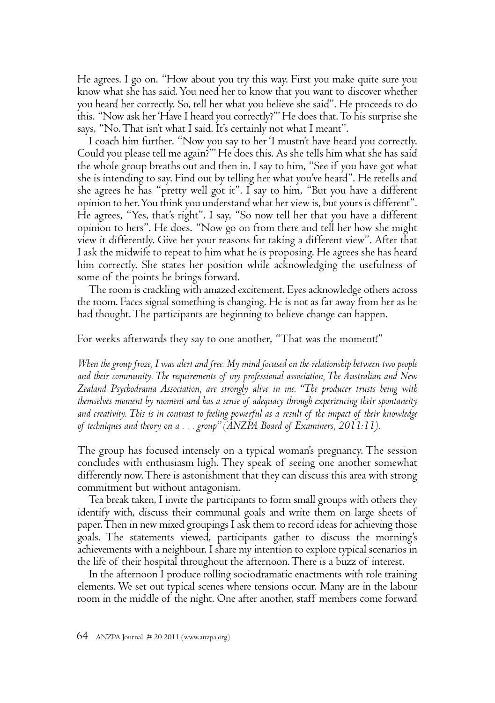He agrees. I go on. "How about you try this way. First you make quite sure you know what she has said. You need her to know that you want to discover whether you heard her correctly. So, tell her what you believe she said". He proceeds to do this. "Now ask her 'Have I heard you correctly?'" He does that. To his surprise she says, "No. That isn't what I said. It's certainly not what I meant".

I coach him further. "Now you say to her 'I mustn't have heard you correctly. Could you please tell me again?'" He does this. As she tells him what she has said the whole group breaths out and then in. I say to him, "See if you have got what she is intending to say. Find out by telling her what you've heard". He retells and she agrees he has "pretty well got it". I say to him, "But you have a different opinion to her. You think you understand what her view is, but yours is different". He agrees, "Yes, that's right". I say, "So now tell her that you have a different opinion to hers". He does. "Now go on from there and tell her how she might view it differently. Give her your reasons for taking a different view". After that I ask the midwife to repeat to him what he is proposing. He agrees she has heard him correctly. She states her position while acknowledging the usefulness of some of the points he brings forward.

The room is crackling with amazed excitement. Eyes acknowledge others across the room. Faces signal something is changing. He is not as far away from her as he had thought. The participants are beginning to believe change can happen.

For weeks afterwards they say to one another, "That was the moment!"

*When the group froze, I was alert and free. My mind focused on the relationship between two people and their community. The requirements of my professional association, The Australian and New Zealand Psychodrama Association, are strongly alive in me. "The producer trusts being with themselves moment by moment and has a sense of adequacy through experiencing their spontaneity and creativity. This is in contrast to feeling powerful as a result of the impact of their knowledge of techniques and theory on a . . . group" (ANZPA Board of Examiners, 2011:11).*

The group has focused intensely on a typical woman's pregnancy. The session concludes with enthusiasm high. They speak of seeing one another somewhat differently now. There is astonishment that they can discuss this area with strong commitment but without antagonism.

Tea break taken, I invite the participants to form small groups with others they identify with, discuss their communal goals and write them on large sheets of paper. Then in new mixed groupings I ask them to record ideas for achieving those goals. The statements viewed, participants gather to discuss the morning's achievements with a neighbour. I share my intention to explore typical scenarios in the life of their hospital throughout the afternoon. There is a buzz of interest.

In the afternoon I produce rolling sociodramatic enactments with role training elements. We set out typical scenes where tensions occur. Many are in the labour room in the middle of the night. One after another, staff members come forward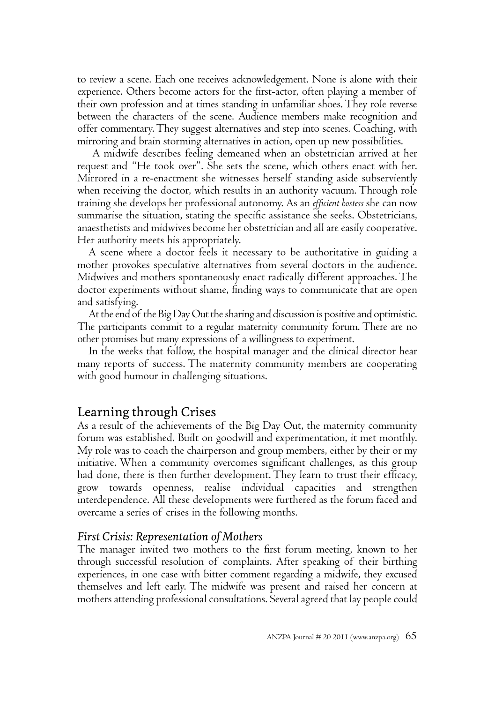to review a scene. Each one receives acknowledgement. None is alone with their experience. Others become actors for the first-actor, often playing a member of their own profession and at times standing in unfamiliar shoes. They role reverse between the characters of the scene. Audience members make recognition and offer commentary. They suggest alternatives and step into scenes. Coaching, with mirroring and brain storming alternatives in action, open up new possibilities.

A midwife describes feeling demeaned when an obstetrician arrived at her request and "He took over". She sets the scene, which others enact with her. Mirrored in a re-enactment she witnesses herself standing aside subserviently when receiving the doctor, which results in an authority vacuum. Through role training she develops her professional autonomy. As an *effi cient hostess* she can now summarise the situation, stating the specific assistance she seeks. Obstetricians, anaesthetists and midwives become her obstetrician and all are easily cooperative. Her authority meets his appropriately.

A scene where a doctor feels it necessary to be authoritative in guiding a mother provokes speculative alternatives from several doctors in the audience. Midwives and mothers spontaneously enact radically different approaches. The doctor experiments without shame, finding ways to communicate that are open and satisfying.

At the end of the Big Day Out the sharing and discussion is positive and optimistic. The participants commit to a regular maternity community forum. There are no other promises but many expressions of a willingness to experiment.

In the weeks that follow, the hospital manager and the clinical director hear many reports of success. The maternity community members are cooperating with good humour in challenging situations.

#### Learning through Crises

As a result of the achievements of the Big Day Out, the maternity community forum was established. Built on goodwill and experimentation, it met monthly. My role was to coach the chairperson and group members, either by their or my initiative. When a community overcomes significant challenges, as this group had done, there is then further development. They learn to trust their efficacy, grow towards openness, realise individual capacities and strengthen interdependence. All these developments were furthered as the forum faced and overcame a series of crises in the following months.

#### *First Crisis: Representation of Mothers*

The manager invited two mothers to the first forum meeting, known to her through successful resolution of complaints. After speaking of their birthing experiences, in one case with bitter comment regarding a midwife, they excused themselves and left early. The midwife was present and raised her concern at mothers attending professional consultations. Several agreed that lay people could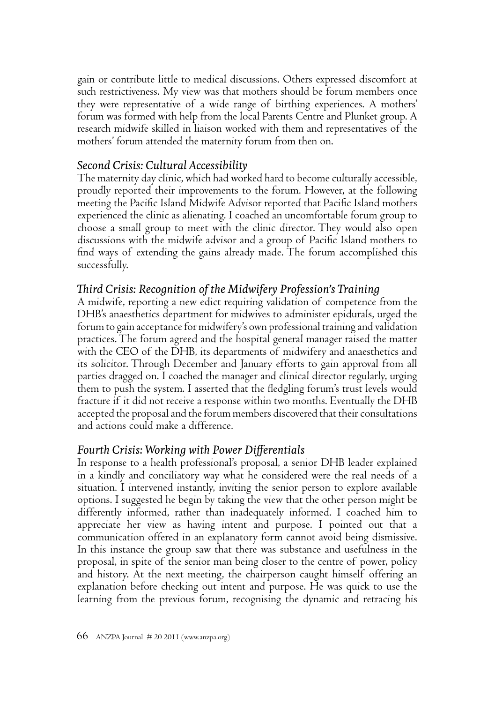gain or contribute little to medical discussions. Others expressed discomfort at such restrictiveness. My view was that mothers should be forum members once they were representative of a wide range of birthing experiences. A mothers' forum was formed with help from the local Parents Centre and Plunket group. A research midwife skilled in liaison worked with them and representatives of the mothers' forum attended the maternity forum from then on.

## *Second Crisis: Cultural Accessibility*

The maternity day clinic, which had worked hard to become culturally accessible, proudly reported their improvements to the forum. However, at the following meeting the Pacific Island Midwife Advisor reported that Pacific Island mothers experienced the clinic as alienating. I coached an uncomfortable forum group to choose a small group to meet with the clinic director. They would also open discussions with the midwife advisor and a group of Pacific Island mothers to find ways of extending the gains already made. The forum accomplished this successfully.

## *Th ird Crisis: Recognition of the Midwifery Profession's Training*

A midwife, reporting a new edict requiring validation of competence from the DHB's anaesthetics department for midwives to administer epidurals, urged the forum to gain acceptance for midwifery's own professional training and validation practices. The forum agreed and the hospital general manager raised the matter with the CEO of the DHB, its departments of midwifery and anaesthetics and its solicitor. Through December and January efforts to gain approval from all parties dragged on. I coached the manager and clinical director regularly, urging them to push the system. I asserted that the fledgling forum's trust levels would fracture if it did not receive a response within two months. Eventually the DHB accepted the proposal and the forum members discovered that their consultations and actions could make a difference.

## *Fourth Crisis: Working with Power Diff erentials*

In response to a health professional's proposal, a senior DHB leader explained in a kindly and conciliatory way what he considered were the real needs of a situation. I intervened instantly, inviting the senior person to explore available options. I suggested he begin by taking the view that the other person might be differently informed, rather than inadequately informed. I coached him to appreciate her view as having intent and purpose. I pointed out that a communication offered in an explanatory form cannot avoid being dismissive. In this instance the group saw that there was substance and usefulness in the proposal, in spite of the senior man being closer to the centre of power, policy and history. At the next meeting, the chairperson caught himself offering an explanation before checking out intent and purpose. He was quick to use the learning from the previous forum, recognising the dynamic and retracing his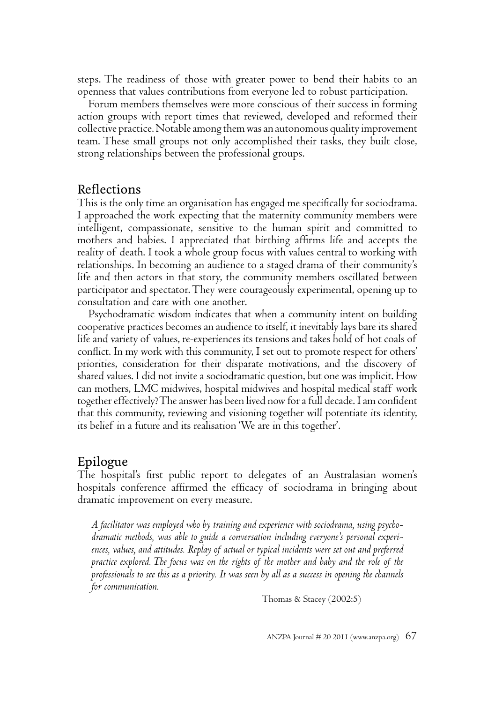steps. The readiness of those with greater power to bend their habits to an openness that values contributions from everyone led to robust participation.

Forum members themselves were more conscious of their success in forming action groups with report times that reviewed, developed and reformed their collective practice. Notable among them was an autonomous quality improvement team. These small groups not only accomplished their tasks, they built close, strong relationships between the professional groups.

#### **Reflections**

This is the only time an organisation has engaged me specifically for sociodrama. I approached the work expecting that the maternity community members were intelligent, compassionate, sensitive to the human spirit and committed to mothers and babies. I appreciated that birthing affirms life and accepts the reality of death. I took a whole group focus with values central to working with relationships. In becoming an audience to a staged drama of their community's life and then actors in that story, the community members oscillated between participator and spectator. They were courageously experimental, opening up to consultation and care with one another.

Psychodramatic wisdom indicates that when a community intent on building cooperative practices becomes an audience to itself, it inevitably lays bare its shared life and variety of values, re-experiences its tensions and takes hold of hot coals of conflict. In my work with this community, I set out to promote respect for others' priorities, consideration for their disparate motivations, and the discovery of shared values. I did not invite a sociodramatic question, but one was implicit. How can mothers, LMC midwives, hospital midwives and hospital medical staff work together effectively? The answer has been lived now for a full decade. I am confident that this community, reviewing and visioning together will potentiate its identity, its belief in a future and its realisation 'We are in this together'.

#### Epilogue

The hospital's first public report to delegates of an Australasian women's hospitals conference affirmed the efficacy of sociodrama in bringing about dramatic improvement on every measure.

*A facilitator was employed who by training and experience with sociodrama, using psychodramatic methods, was able to guide a conversation including everyone's personal experiences, values, and attitudes. Replay of actual or typical incidents were set out and preferred practice explored. The focus was on the rights of the mother and baby and the role of the professionals to see this as a priority. It was seen by all as a success in opening the channels for communication.*

Thomas & Stacey (2002:5)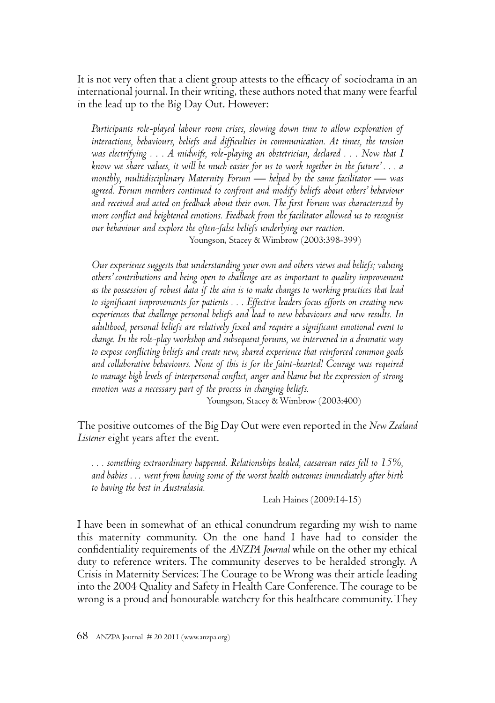It is not very often that a client group attests to the efficacy of sociodrama in an international journal. In their writing, these authors noted that many were fearful in the lead up to the Big Day Out. However:

*Participants role-played labour room crises, slowing down time to allow exploration of*  interactions, behaviours, beliefs and difficulties in communication. At times, the tension *was electrifying . . . A midwife, role-playing an obstetrician, declared . . . Now that I know we share values, it will be much easier for us to work together in the future' . . . a monthly, multidisciplinary Maternity Forum — helped by the same facilitator — was agreed. Forum members continued to confront and modify beliefs about others' behaviour*  and received and acted on feedback about their own. The first Forum was characterized by more conflict and heightened emotions. Feedback from the facilitator allowed us to recognise *our behaviour and explore the often-false beliefs underlying our reaction.* Youngson, Stacey & Wimbrow (2003:398-399)

*Our experience suggests that understanding your own and others views and beliefs; valuing others' contributions and being open to challenge are as important to quality improvement as the possession of robust data if the aim is to make changes to working practices that lead*  to significant improvements for patients . . . Effective leaders focus efforts on creating new *experiences that challenge personal beliefs and lead to new behaviours and new results. In adulthood, personal beliefs are relatively fi xed and require a signifi cant emotional event to change. In the role-play workshop and subsequent forums, we intervened in a dramatic way to expose confl icting beliefs and create new, shared experience that reinforced common goals and collaborative behaviours. None of this is for the faint-hearted! Courage was required to manage high levels of interpersonal confl ict, anger and blame but the expression of strong emotion was a necessary part of the process in changing beliefs.*

Youngson, Stacey & Wimbrow (2003:400)

The positive outcomes of the Big Day Out were even reported in the *New Zealand Listener* eight years after the event.

*. . . something extraordinary happened. Relationships healed, caesarean rates fell to 15%, and babies … went from having some of the worst health outcomes immediately after birth to having the best in Australasia.*

Leah Haines (2009:14-15)

I have been in somewhat of an ethical conundrum regarding my wish to name this maternity community. On the one hand I have had to consider the confidentiality requirements of the *ANZPA Journal* while on the other my ethical duty to reference writers. The community deserves to be heralded strongly. A Crisis in Maternity Services: The Courage to be Wrong was their article leading into the 2004 Quality and Safety in Health Care Conference. The courage to be wrong is a proud and honourable watchcry for this healthcare community. They

68 ANZPA Journal # 20 2011 (www.anzpa.org)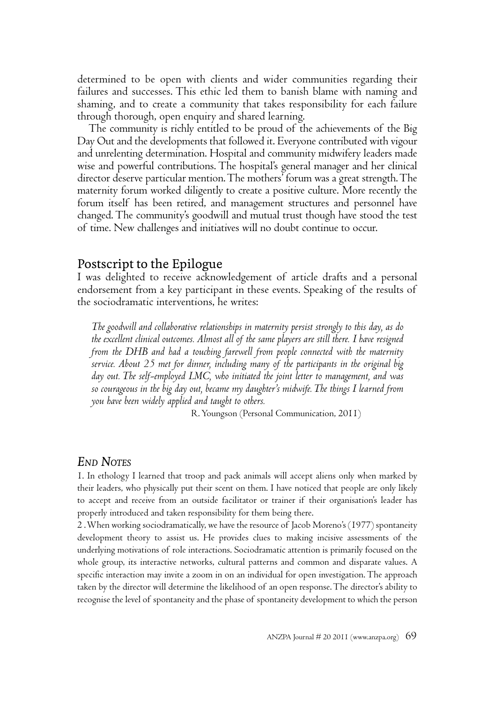determined to be open with clients and wider communities regarding their failures and successes. This ethic led them to banish blame with naming and shaming, and to create a community that takes responsibility for each failure through thorough, open enquiry and shared learning.

The community is richly entitled to be proud of the achievements of the Big Day Out and the developments that followed it. Everyone contributed with vigour and unrelenting determination. Hospital and community midwifery leaders made wise and powerful contributions. The hospital's general manager and her clinical director deserve particular mention. The mothers' forum was a great strength. The maternity forum worked diligently to create a positive culture. More recently the forum itself has been retired, and management structures and personnel have changed. The community's goodwill and mutual trust though have stood the test of time. New challenges and initiatives will no doubt continue to occur.

#### Postscript to the Epilogue

I was delighted to receive acknowledgement of article drafts and a personal endorsement from a key participant in these events. Speaking of the results of the sociodramatic interventions, he writes:

*The goodwill and collaborative relationships in maternity persist strongly to this day, as do the excellent clinical outcomes. Almost all of the same players are still there. I have resigned from the DHB and had a touching farewell from people connected with the maternity service. About 25 met for dinner, including many of the participants in the original big day out. The self-employed LMC, who initiated the joint letter to management, and was so courageous in the big day out, became my daughter's midwife. The things I learned from you have been widely applied and taught to others.* 

R. Youngson (Personal Communication, 2011)

#### *END NOTES*

1. In ethology I learned that troop and pack animals will accept aliens only when marked by their leaders, who physically put their scent on them. I have noticed that people are only likely to accept and receive from an outside facilitator or trainer if their organisation's leader has properly introduced and taken responsibility for them being there.

2 . When working sociodramatically, we have the resource of Jacob Moreno's (1977) spontaneity development theory to assist us. He provides clues to making incisive assessments of the underlying motivations of role interactions. Sociodramatic attention is primarily focused on the whole group, its interactive networks, cultural patterns and common and disparate values. A specific interaction may invite a zoom in on an individual for open investigation. The approach taken by the director will determine the likelihood of an open response. The director's ability to recognise the level of spontaneity and the phase of spontaneity development to which the person